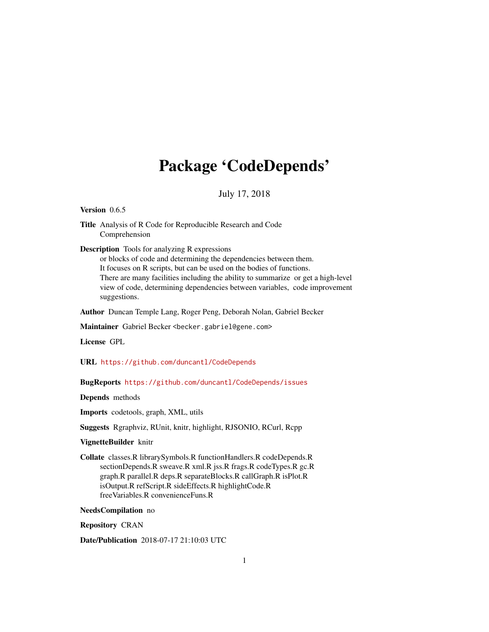## Package 'CodeDepends'

### July 17, 2018

#### <span id="page-0-0"></span>Version 0.6.5

Title Analysis of R Code for Reproducible Research and Code Comprehension

Description Tools for analyzing R expressions

or blocks of code and determining the dependencies between them. It focuses on R scripts, but can be used on the bodies of functions. There are many facilities including the ability to summarize or get a high-level view of code, determining dependencies between variables, code improvement suggestions.

Author Duncan Temple Lang, Roger Peng, Deborah Nolan, Gabriel Becker

Maintainer Gabriel Becker <becker.gabriel@gene.com>

License GPL

URL <https://github.com/duncantl/CodeDepends>

### BugReports <https://github.com/duncantl/CodeDepends/issues>

Depends methods

Imports codetools, graph, XML, utils

Suggests Rgraphviz, RUnit, knitr, highlight, RJSONIO, RCurl, Rcpp

#### VignetteBuilder knitr

Collate classes.R librarySymbols.R functionHandlers.R codeDepends.R sectionDepends.R sweave.R xml.R jss.R frags.R codeTypes.R gc.R graph.R parallel.R deps.R separateBlocks.R callGraph.R isPlot.R isOutput.R refScript.R sideEffects.R highlightCode.R freeVariables.R convenienceFuns.R

### NeedsCompilation no

Repository CRAN

Date/Publication 2018-07-17 21:10:03 UTC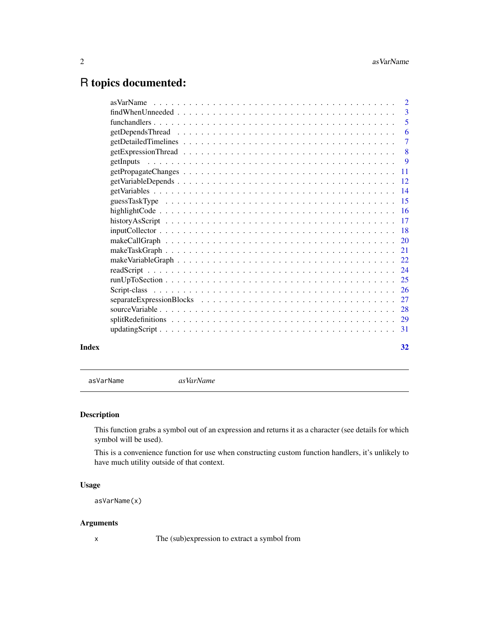## <span id="page-1-0"></span>R topics documented:

|       | $find When Unneeded \dots \dots \dots \dots \dots \dots \dots \dots \dots \dots \dots \dots \dots \dots \dots \dots \dots \dots$ |                |
|-------|----------------------------------------------------------------------------------------------------------------------------------|----------------|
|       |                                                                                                                                  |                |
|       |                                                                                                                                  | 6              |
|       |                                                                                                                                  | $\overline{7}$ |
|       |                                                                                                                                  |                |
|       |                                                                                                                                  |                |
|       |                                                                                                                                  |                |
|       |                                                                                                                                  |                |
|       |                                                                                                                                  |                |
|       |                                                                                                                                  |                |
|       |                                                                                                                                  |                |
|       |                                                                                                                                  |                |
|       |                                                                                                                                  |                |
|       |                                                                                                                                  |                |
|       |                                                                                                                                  |                |
|       |                                                                                                                                  |                |
|       |                                                                                                                                  |                |
|       |                                                                                                                                  |                |
|       |                                                                                                                                  |                |
|       |                                                                                                                                  |                |
|       |                                                                                                                                  |                |
|       |                                                                                                                                  |                |
|       |                                                                                                                                  |                |
| Index |                                                                                                                                  | 32             |

asVarName *asVarName*

### Description

This function grabs a symbol out of an expression and returns it as a character (see details for which symbol will be used).

This is a convenience function for use when constructing custom function handlers, it's unlikely to have much utility outside of that context.

### Usage

```
asVarName(x)
```
### Arguments

x The (sub)expression to extract a symbol from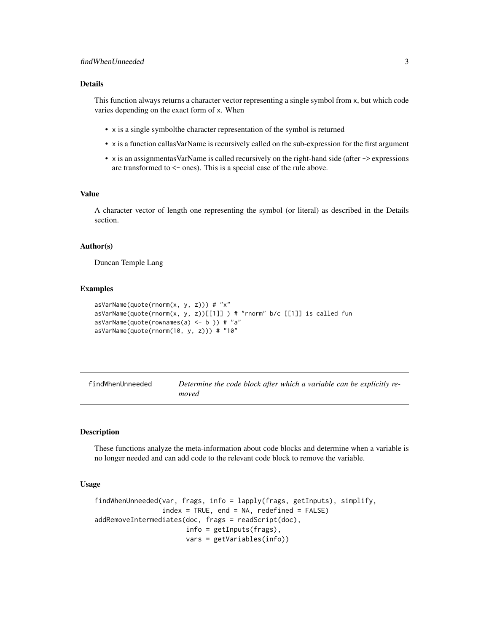### <span id="page-2-0"></span>Details

This function always returns a character vector representing a single symbol from x, but which code varies depending on the exact form of x. When

- x is a single symbolthe character representation of the symbol is returned
- x is a function callasVarName is recursively called on the sub-expression for the first argument
- x is an assignmentasVarName is called recursively on the right-hand side (after -> expressions are transformed to <- ones). This is a special case of the rule above.

### Value

A character vector of length one representing the symbol (or literal) as described in the Details section.

#### Author(s)

Duncan Temple Lang

### Examples

```
asVarName(quote(rnorm(x, y, z))) # "x"asVarName(quote(rnorm(x, y, z))[[1]] ) # "rnorm" b/c [[1]] is called fun
asVarName(quote(rownames(a) \leftarrow b)) # "a"
asVarName(quote(rnorm(10, y, z))) # "10"
```

| findWhenUnneeded | Determine the code block after which a variable can be explicitly re- |
|------------------|-----------------------------------------------------------------------|
|                  | moved                                                                 |

#### <span id="page-2-1"></span>**Description**

These functions analyze the meta-information about code blocks and determine when a variable is no longer needed and can add code to the relevant code block to remove the variable.

#### Usage

```
findWhenUnneeded(var, frags, info = lapply(frags, getInputs), simplify,
                 index = TRUE, end = NA, redefined = FALSE)addRemoveIntermediates(doc, frags = readScript(doc),
                      info = getInputs(frags),
                      vars = getVariables(info))
```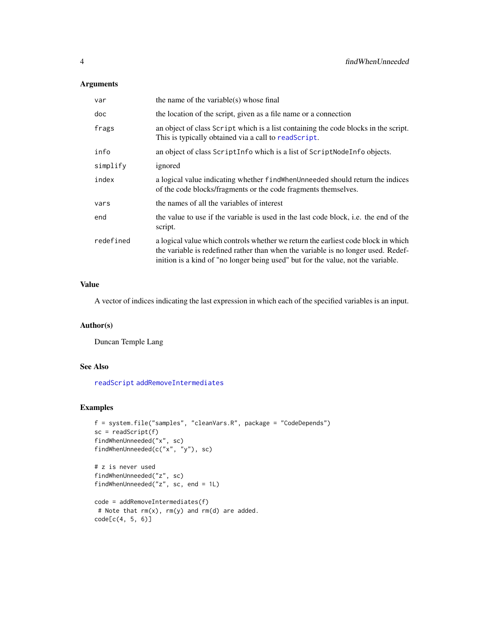### <span id="page-3-0"></span>Arguments

| var       | the name of the variable(s) whose final                                                                                                                                                                                                                    |
|-----------|------------------------------------------------------------------------------------------------------------------------------------------------------------------------------------------------------------------------------------------------------------|
| doc       | the location of the script, given as a file name or a connection                                                                                                                                                                                           |
| frags     | an object of class Script which is a list containing the code blocks in the script.<br>This is typically obtained via a call to readScript.                                                                                                                |
| info      | an object of class Script Info which is a list of Script Node Info objects.                                                                                                                                                                                |
| simplify  | ignored                                                                                                                                                                                                                                                    |
| index     | a logical value indicating whether find when Unneeded should return the indices<br>of the code blocks/fragments or the code fragments themselves.                                                                                                          |
| vars      | the names of all the variables of interest                                                                                                                                                                                                                 |
| end       | the value to use if the variable is used in the last code block, i.e. the end of the<br>script.                                                                                                                                                            |
| redefined | a logical value which controls whether we return the earliest code block in which<br>the variable is redefined rather than when the variable is no longer used. Redef-<br>inition is a kind of "no longer being used" but for the value, not the variable. |

#### Value

A vector of indices indicating the last expression in which each of the specified variables is an input.

### Author(s)

Duncan Temple Lang

### See Also

[readScript](#page-23-1) [addRemoveIntermediates](#page-2-1)

### Examples

```
f = system.file("samples", "cleanVars.R", package = "CodeDepends")
sc = readScript(f)findWhenUnneeded("x", sc)
findWhenUnneeded(c("x", "y"), sc)
# z is never used
findWhenUnneeded("z", sc)
findWhenUnneeded("z", sc, end = 1L)
code = addRemoveIntermediates(f)
 # Note that rm(x), rm(y) and rm(d) are added.
code[c(4, 5, 6)]
```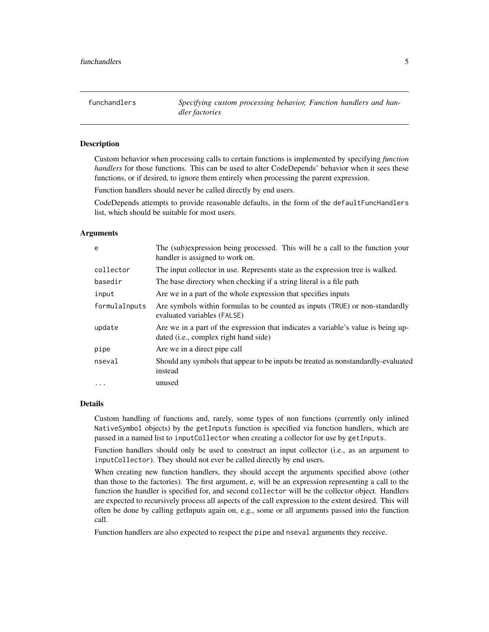<span id="page-4-0"></span>funchandlers *Specifying custom processing behavior, Function handlers and handler factories*

### **Description**

Custom behavior when processing calls to certain functions is implemented by specifying *function handlers* for those functions. This can be used to alter CodeDepends' behavior when it sees these functions, or if desired, to ignore them entirely when processing the parent expression.

Function handlers should never be called directly by end users.

CodeDepends attempts to provide reasonable defaults, in the form of the defaultFuncHandlers list, which should be suitable for most users.

### Arguments

| e             | The (sub)expression being processed. This will be a call to the function your<br>handler is assigned to work on.                    |
|---------------|-------------------------------------------------------------------------------------------------------------------------------------|
| collector     | The input collector in use. Represents state as the expression tree is walked.                                                      |
| basedir       | The base directory when checking if a string literal is a file path                                                                 |
| input         | Are we in a part of the whole expression that specifies inputs                                                                      |
| formulaInputs | Are symbols within formulas to be counted as inputs (TRUE) or non-standardly<br>evaluated variables (FALSE)                         |
| update        | Are we in a part of the expression that indicates a variable's value is being up-<br>dated ( <i>i.e.</i> , complex right hand side) |
| pipe          | Are we in a direct pipe call                                                                                                        |
| nseval        | Should any symbols that appear to be inputs be treated as nonstandardly-evaluated<br>instead                                        |
| $\cdot$       | unused                                                                                                                              |

#### Details

Custom handling of functions and, rarely, some types of non functions (currently only inlined NativeSymbol objects) by the getInputs function is specified via function handlers, which are passed in a named list to inputCollector when creating a collector for use by getInputs.

Function handlers should only be used to construct an input collector (i.e., as an argument to inputCollector). They should not ever be called directly by end users.

When creating new function handlers, they should accept the arguments specified above (other than those to the factories). The first argument, e, will be an expression representing a call to the function the handler is specified for, and second collector will be the collector object. Handlers are expected to recursively process all aspects of the call expression to the extent desired. This will often be done by calling getInputs again on, e.g., some or all arguments passed into the function call.

Function handlers are also expected to respect the pipe and nseval arguments they receive.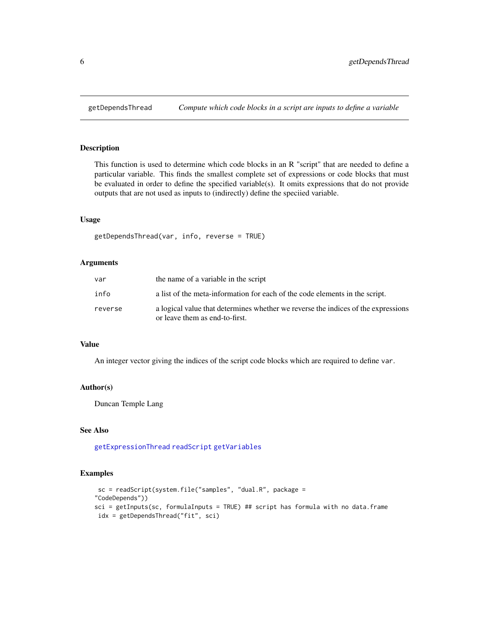<span id="page-5-1"></span><span id="page-5-0"></span>

This function is used to determine which code blocks in an R "script" that are needed to define a particular variable. This finds the smallest complete set of expressions or code blocks that must be evaluated in order to define the specified variable(s). It omits expressions that do not provide outputs that are not used as inputs to (indirectly) define the speciied variable.

### Usage

getDependsThread(var, info, reverse = TRUE)

### Arguments

| var     | the name of a variable in the script                                                                                |
|---------|---------------------------------------------------------------------------------------------------------------------|
| info    | a list of the meta-information for each of the code elements in the script.                                         |
| reverse | a logical value that determines whether we reverse the indices of the expressions<br>or leave them as end-to-first. |

#### Value

An integer vector giving the indices of the script code blocks which are required to define var.

#### Author(s)

Duncan Temple Lang

### See Also

[getExpressionThread](#page-7-1) [readScript](#page-23-1) [getVariables](#page-13-1)

### Examples

```
sc = readScript(system.file("samples", "dual.R", package =
"CodeDepends"))
sci = getInputStream(sc, formulaInputStream) = TRUE) ## script has formula with no data.frame
idx = getDependsThread("fit", sci)
```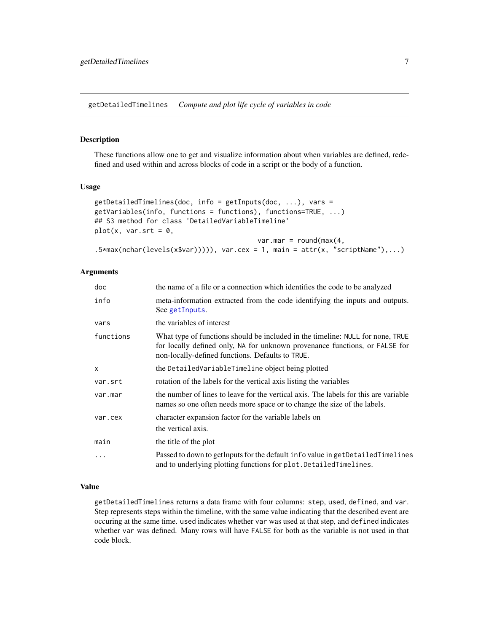<span id="page-6-0"></span>getDetailedTimelines *Compute and plot life cycle of variables in code*

### Description

These functions allow one to get and visualize information about when variables are defined, redefined and used within and across blocks of code in a script or the body of a function.

#### Usage

```
getDetailedTimelines(doc, info = getInputs(doc, ...), vars =
getVariables(info, functions = functions), functions=TRUE, ...)
## S3 method for class 'DetailedVariableTimeline'
plot(x, var.srt = 0,var.mar = round(max(4,.5*max(nchar(levels(x$var))))), var.cex = 1, main = attr(x, "scriptName"),...)
```
### Arguments

| doc       | the name of a file or a connection which identifies the code to be analyzed                                                                                                                                       |
|-----------|-------------------------------------------------------------------------------------------------------------------------------------------------------------------------------------------------------------------|
| info      | meta-information extracted from the code identifying the inputs and outputs.<br>See getInputs.                                                                                                                    |
| vars      | the variables of interest                                                                                                                                                                                         |
| functions | What type of functions should be included in the timeline: NULL for none, TRUE<br>for locally defined only, NA for unknown provenance functions, or FALSE for<br>non-locally-defined functions. Defaults to TRUE. |
| X         | the DetailedVariableTimeline object being plotted                                                                                                                                                                 |
| var.srt   | rotation of the labels for the vertical axis listing the variables                                                                                                                                                |
| var.mar   | the number of lines to leave for the vertical axis. The labels for this are variable<br>names so one often needs more space or to change the size of the labels.                                                  |
| var.cex   | character expansion factor for the variable labels on                                                                                                                                                             |
|           | the vertical axis.                                                                                                                                                                                                |
| main      | the title of the plot                                                                                                                                                                                             |
| $\cdots$  | Passed to down to getInputs for the default info value in getDetailedTimelines<br>and to underlying plotting functions for plot. Detailed Timelines.                                                              |

### Value

getDetailedTimelines returns a data frame with four columns: step, used, defined, and var. Step represents steps within the timeline, with the same value indicating that the described event are occuring at the same time. used indicates whether var was used at that step, and defined indicates whether var was defined. Many rows will have FALSE for both as the variable is not used in that code block.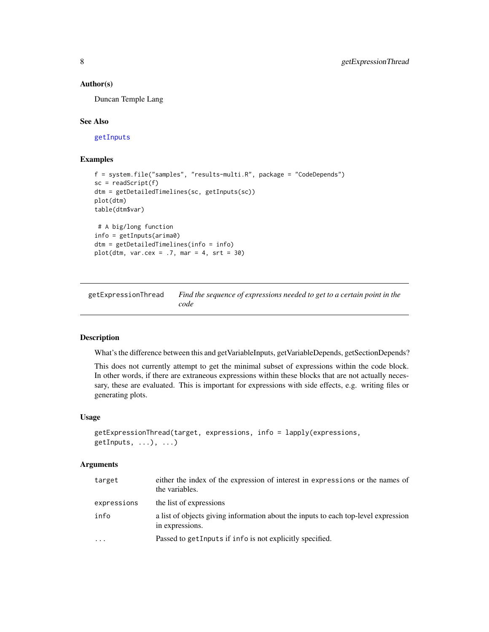#### <span id="page-7-0"></span>Author(s)

Duncan Temple Lang

#### See Also

[getInputs](#page-8-1)

#### Examples

```
f = system.file("samples", "results-multi.R", package = "CodeDepends")
sc = readScript(f)dtm = getDetailedTimelines(sc, getInputs(sc))
plot(dtm)
table(dtm$var)
 # A big/long function
info = getInputs(arima0)
dtm = getDetailedTimelines(info = info)
plot(dtm, var.cex = .7, mar = 4, str = 30)
```
<span id="page-7-1"></span>getExpressionThread *Find the sequence of expressions needed to get to a certain point in the code*

### Description

What's the difference between this and getVariableInputs, getVariableDepends, getSectionDepends?

This does not currently attempt to get the minimal subset of expressions within the code block. In other words, if there are extraneous expressions within these blocks that are not actually necessary, these are evaluated. This is important for expressions with side effects, e.g. writing files or generating plots.

#### Usage

```
getExpressionThread(target, expressions, info = lapply(expressions,
getInputs, ...), ...)
```
### Arguments

| target      | either the index of the expression of interest in expressions or the names of<br>the variables.       |
|-------------|-------------------------------------------------------------------------------------------------------|
| expressions | the list of expressions                                                                               |
| info        | a list of objects giving information about the inputs to each top-level expression<br>in expressions. |
| $\cdot$     | Passed to get Inputs if info is not explicitly specified.                                             |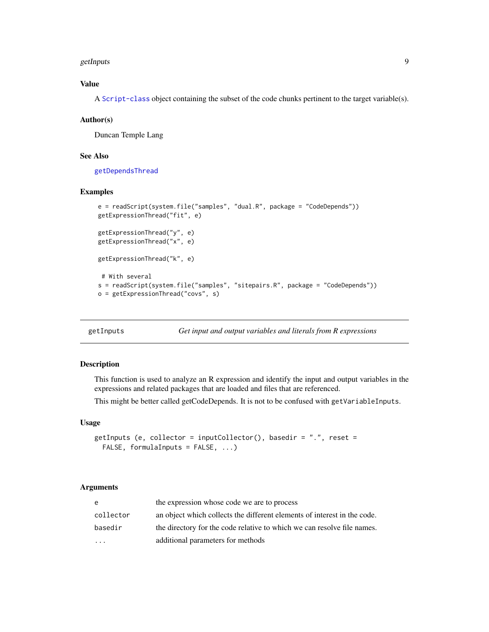#### <span id="page-8-0"></span>getInputs and the contract of the contract of the contract of the contract of the contract of the contract of the contract of the contract of the contract of the contract of the contract of the contract of the contract of

### Value

A [Script-class](#page-25-1) object containing the subset of the code chunks pertinent to the target variable(s).

#### Author(s)

Duncan Temple Lang

#### See Also

[getDependsThread](#page-5-1)

#### Examples

```
e = readScript(system.file("samples", "dual.R", package = "CodeDepends"))
getExpressionThread("fit", e)
getExpressionThread("y", e)
getExpressionThread("x", e)
getExpressionThread("k", e)
# With several
s = readScript(system.file("samples", "sitepairs.R", package = "CodeDepends"))
o = getExpressionThread("covs", s)
```
<span id="page-8-1"></span>getInputs *Get input and output variables and literals from R expressions*

### Description

This function is used to analyze an R expression and identify the input and output variables in the expressions and related packages that are loaded and files that are referenced.

This might be better called getCodeDepends. It is not to be confused with getVariableInputs.

#### Usage

```
getInputs (e, collector = inputCollector(), basedir = "., reset =
 FALSE, formulaInputs = FALSE, ...)
```
### Arguments

| e         | the expression whose code we are to process                              |
|-----------|--------------------------------------------------------------------------|
| collector | an object which collects the different elements of interest in the code. |
| basedir   | the directory for the code relative to which we can resolve file names.  |
| .         | additional parameters for methods                                        |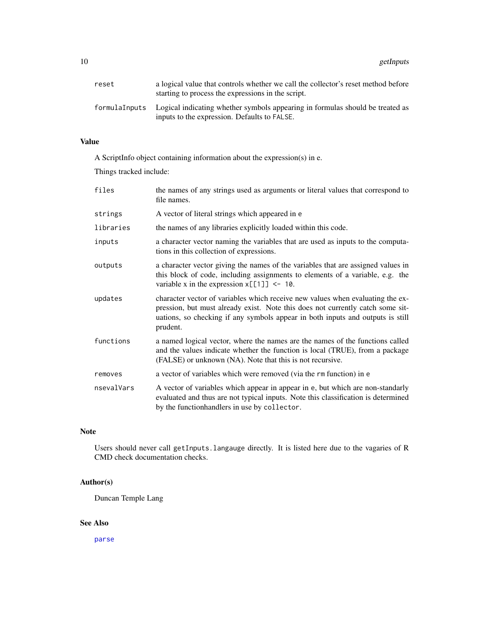<span id="page-9-0"></span>10 getInputs

| reset | a logical value that controls whether we call the collector's reset method before<br>starting to process the expressions in the script.     |
|-------|---------------------------------------------------------------------------------------------------------------------------------------------|
|       | formulaInputs Logical indicating whether symbols appearing in formulas should be treated as<br>inputs to the expression. Defaults to FALSE. |

### Value

A ScriptInfo object containing information about the expression(s) in e.

Things tracked include:

| files      | the names of any strings used as arguments or literal values that correspond to<br>file names.                                                                                                                                                                 |
|------------|----------------------------------------------------------------------------------------------------------------------------------------------------------------------------------------------------------------------------------------------------------------|
| strings    | A vector of literal strings which appeared in e                                                                                                                                                                                                                |
| libraries  | the names of any libraries explicitly loaded within this code.                                                                                                                                                                                                 |
| inputs     | a character vector naming the variables that are used as inputs to the computa-<br>tions in this collection of expressions.                                                                                                                                    |
| outputs    | a character vector giving the names of the variables that are assigned values in<br>this block of code, including assignments to elements of a variable, e.g. the<br>variable x in the expression $x[[1]] \le -10$ .                                           |
| updates    | character vector of variables which receive new values when evaluating the ex-<br>pression, but must already exist. Note this does not currently catch some sit-<br>uations, so checking if any symbols appear in both inputs and outputs is still<br>prudent. |
| functions  | a named logical vector, where the names are the names of the functions called<br>and the values indicate whether the function is local (TRUE), from a package<br>(FALSE) or unknown (NA). Note that this is not recursive.                                     |
| removes    | a vector of variables which were removed (via the rm function) in e                                                                                                                                                                                            |
| nsevalVars | A vector of variables which appear in appear in e, but which are non-standarly<br>evaluated and thus are not typical inputs. Note this classification is determined<br>by the functionhandlers in use by collector.                                            |

#### Note

Users should never call getInputs.langauge directly. It is listed here due to the vagaries of R CMD check documentation checks.

### Author(s)

Duncan Temple Lang

### See Also

[parse](#page-0-0)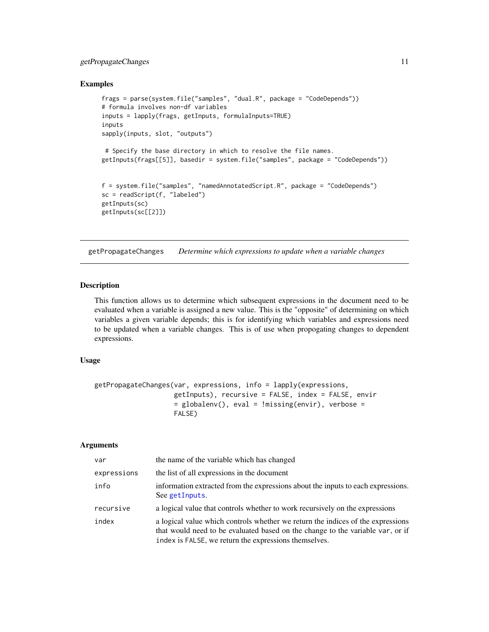### <span id="page-10-0"></span>getPropagateChanges 11

#### Examples

```
frags = parse(system.file("samples", "dual.R", package = "CodeDepends"))
# formula involves non-df variables
inputs = lapply(frags, getInputs, formulaInputs=TRUE)
inputs
sapply(inputs, slot, "outputs")
 # Specify the base directory in which to resolve the file names.
getInputs(frags[[5]], basedir = system.file("samples", package = "CodeDepends"))
f = system.file("samples", "namedAnnotatedScript.R", package = "CodeDepends")
sc = readScript(f, "labeled")
getInputs(sc)
getInputs(sc[[2]])
```
<span id="page-10-1"></span>getPropagateChanges *Determine which expressions to update when a variable changes*

#### Description

This function allows us to determine which subsequent expressions in the document need to be evaluated when a variable is assigned a new value. This is the "opposite" of determining on which variables a given variable depends; this is for identifying which variables and expressions need to be updated when a variable changes. This is of use when propogating changes to dependent expressions.

#### Usage

```
getPropagateChanges(var, expressions, info = lapply(expressions,
                   getInputs), recursive = FALSE, index = FALSE, envir
                    = globalenv(), eval = !missing(envir), verbose =
                   FALSE)
```
#### Arguments

| var         | the name of the variable which has changed                                                                                                                                                                                 |
|-------------|----------------------------------------------------------------------------------------------------------------------------------------------------------------------------------------------------------------------------|
| expressions | the list of all expressions in the document                                                                                                                                                                                |
| info        | information extracted from the expressions about the inputs to each expressions.<br>See getInputs.                                                                                                                         |
| recursive   | a logical value that controls whether to work recursively on the expressions                                                                                                                                               |
| index       | a logical value which controls whether we return the indices of the expressions<br>that would need to be evaluated based on the change to the variable var, or if<br>index is FALSE, we return the expressions themselves. |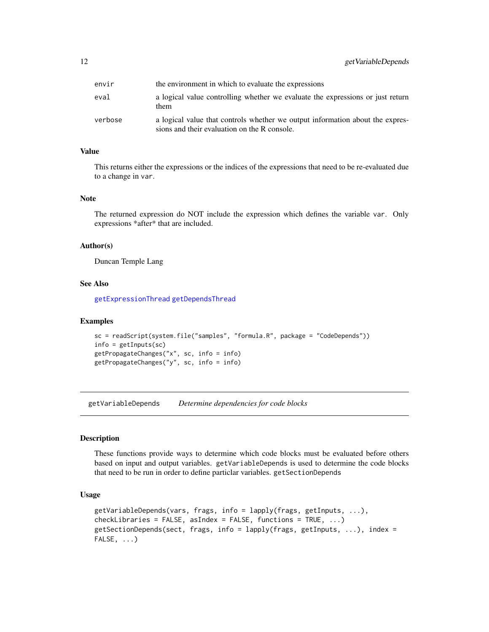<span id="page-11-0"></span>

| envir   | the environment in which to evaluate the expressions                                                                          |
|---------|-------------------------------------------------------------------------------------------------------------------------------|
| eval    | a logical value controlling whether we evaluate the expressions or just return<br>them                                        |
| verbose | a logical value that controls whether we output information about the expres-<br>sions and their evaluation on the R console. |

### Value

This returns either the expressions or the indices of the expressions that need to be re-evaluated due to a change in var.

### Note

The returned expression do NOT include the expression which defines the variable var. Only expressions \*after\* that are included.

#### Author(s)

Duncan Temple Lang

#### See Also

[getExpressionThread](#page-7-1) [getDependsThread](#page-5-1)

#### Examples

```
sc = readScript(system.file("samples", "formula.R", package = "CodeDepends"))
info = getInputs(sc)
getPropagateChanges("x", sc, info = info)
getPropagateChanges("y", sc, info = info)
```
<span id="page-11-1"></span>getVariableDepends *Determine dependencies for code blocks*

### Description

These functions provide ways to determine which code blocks must be evaluated before others based on input and output variables. getVariableDepends is used to determine the code blocks that need to be run in order to define particlar variables. getSectionDepends

#### Usage

```
getVariableDepends(vars, frags, info = lapply(frags, getInputs, ...),
checkLibraries = FALSE, asIndex = FALSE, functions = TRUE, \ldots)
getSectionDepends(sect, frags, info = lapply(frags, getInputs, ...), index =
FALSE, ...)
```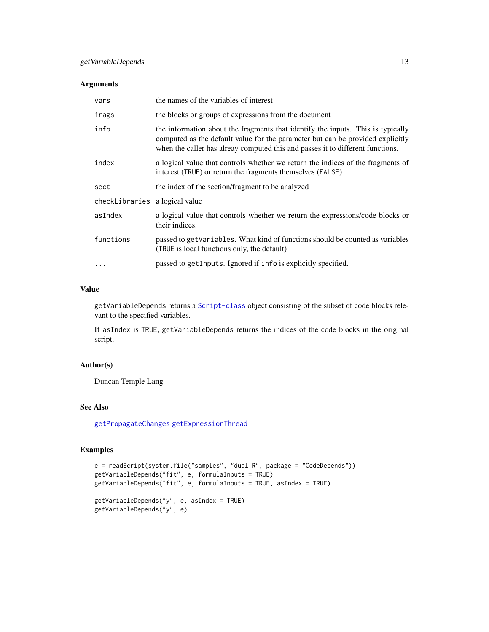### <span id="page-12-0"></span>Arguments

| vars                           | the names of the variables of interest                                                                                                                                                                                                              |  |
|--------------------------------|-----------------------------------------------------------------------------------------------------------------------------------------------------------------------------------------------------------------------------------------------------|--|
| frags                          | the blocks or groups of expressions from the document                                                                                                                                                                                               |  |
| info                           | the information about the fragments that identify the inputs. This is typically<br>computed as the default value for the parameter but can be provided explicitly<br>when the caller has alreay computed this and passes it to different functions. |  |
| index                          | a logical value that controls whether we return the indices of the fragments of<br>interest (TRUE) or return the fragments themselves (FALSE)                                                                                                       |  |
| sect                           | the index of the section/fragment to be analyzed                                                                                                                                                                                                    |  |
| checkLibraries a logical value |                                                                                                                                                                                                                                                     |  |
| asIndex                        | a logical value that controls whether we return the expressions/code blocks or<br>their indices.                                                                                                                                                    |  |
| functions                      | passed to getVariables. What kind of functions should be counted as variables<br>(TRUE is local functions only, the default)                                                                                                                        |  |
|                                | passed to get Inputs. Ignored if info is explicitly specified.                                                                                                                                                                                      |  |

### Value

getVariableDepends returns a [Script-class](#page-25-1) object consisting of the subset of code blocks relevant to the specified variables.

If asIndex is TRUE, getVariableDepends returns the indices of the code blocks in the original script.

### Author(s)

Duncan Temple Lang

### See Also

[getPropagateChanges](#page-10-1) [getExpressionThread](#page-7-1)

### Examples

```
e = readScript(system.file("samples", "dual.R", package = "CodeDepends"))
getVariableDepends("fit", e, formulaInputs = TRUE)
getVariableDepends("fit", e, formulaInputs = TRUE, asIndex = TRUE)
getVariableDepends("y", e, asIndex = TRUE)
getVariableDepends("y", e)
```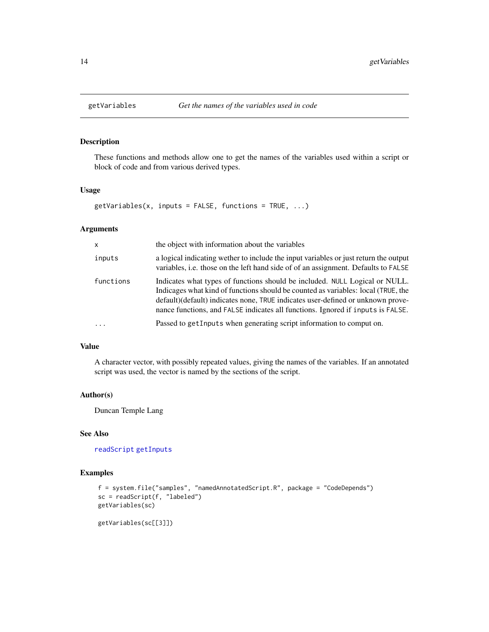<span id="page-13-1"></span><span id="page-13-0"></span>

These functions and methods allow one to get the names of the variables used within a script or block of code and from various derived types.

### Usage

```
getVariables(x, inputs = FALSE, functions = TRUE, ...)
```
### Arguments

| $\mathsf{x}$ | the object with information about the variables                                                                                                                                                                                                                                                                                         |  |
|--------------|-----------------------------------------------------------------------------------------------------------------------------------------------------------------------------------------------------------------------------------------------------------------------------------------------------------------------------------------|--|
| inputs       | a logical indicating wether to include the input variables or just return the output<br>variables, i.e. those on the left hand side of of an assignment. Defaults to FALSE                                                                                                                                                              |  |
| functions    | Indicates what types of functions should be included. NULL Logical or NULL.<br>Indicages what kind of functions should be counted as variables: local (TRUE, the<br>default) (default) indicates none, TRUE indicates user-defined or unknown prove-<br>nance functions, and FALSE indicates all functions. Ignored if inputs is FALSE. |  |
|              | Passed to get Inputs when generating script information to comput on.                                                                                                                                                                                                                                                                   |  |

### Value

A character vector, with possibly repeated values, giving the names of the variables. If an annotated script was used, the vector is named by the sections of the script.

### Author(s)

Duncan Temple Lang

### See Also

[readScript](#page-23-1) [getInputs](#page-8-1)

### Examples

```
f = system.file("samples", "namedAnnotatedScript.R", package = "CodeDepends")
sc = readScript(f, "labeled")
getVariables(sc)
```
getVariables(sc[[3]])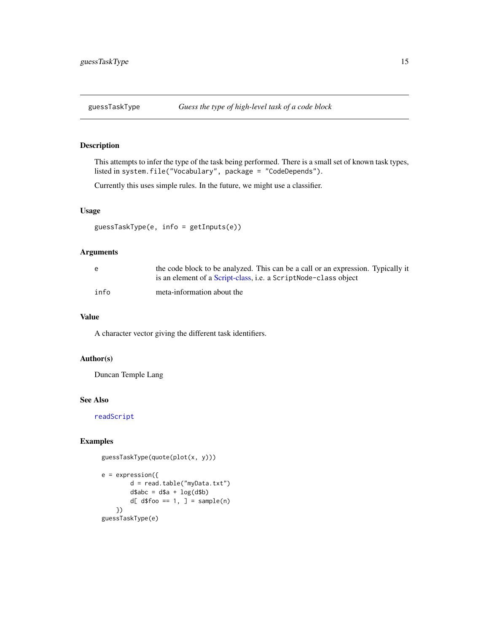<span id="page-14-0"></span>

This attempts to infer the type of the task being performed. There is a small set of known task types, listed in system.file("Vocabulary", package = "CodeDepends").

Currently this uses simple rules. In the future, we might use a classifier.

### Usage

```
guessTaskType(e, info = getInputs(e))
```
#### Arguments

| e    | the code block to be analyzed. This can be a call or an expression. Typically it |
|------|----------------------------------------------------------------------------------|
|      | is an element of a Script-class, i.e. a ScriptNode-class object                  |
| info | meta-information about the                                                       |

### Value

A character vector giving the different task identifiers.

### Author(s)

Duncan Temple Lang

#### See Also

[readScript](#page-23-1)

### Examples

```
guessTaskType(quote(plot(x, y)))
```

```
e = expression({
       d = read.table("myData.txt")
       d$abc = d$a + log(d$b)
        d[ d$foo == 1, ] = sample(n)})
guessTaskType(e)
```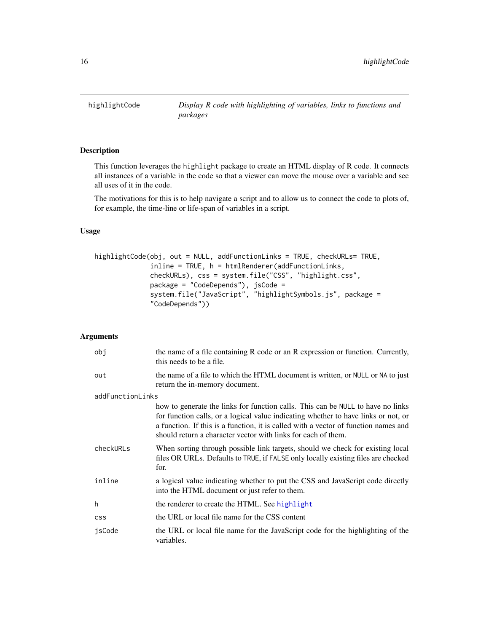<span id="page-15-0"></span>highlightCode *Display R code with highlighting of variables, links to functions and packages*

### Description

This function leverages the highlight package to create an HTML display of R code. It connects all instances of a variable in the code so that a viewer can move the mouse over a variable and see all uses of it in the code.

The motivations for this is to help navigate a script and to allow us to connect the code to plots of, for example, the time-line or life-span of variables in a script.

### Usage

```
highlightCode(obj, out = NULL, addFunctionLinks = TRUE, checkURLs= TRUE,
              inline = TRUE, h = htmlRenderer(addFunctionLinks,
              checkURLs), css = system.file("CSS", "highlight.css",
              package = "CodeDepends"), jsCode =
              system.file("JavaScript", "highlightSymbols.js", package =
              "CodeDepends"))
```
#### Arguments

| obj              | the name of a file containing R code or an R expression or function. Currently,<br>this needs to be a file.                                                                                                                                                                                                                   |  |  |
|------------------|-------------------------------------------------------------------------------------------------------------------------------------------------------------------------------------------------------------------------------------------------------------------------------------------------------------------------------|--|--|
| out              | the name of a file to which the HTML document is written, or NULL or NA to just<br>return the in-memory document.                                                                                                                                                                                                             |  |  |
| addFunctionLinks |                                                                                                                                                                                                                                                                                                                               |  |  |
|                  | how to generate the links for function calls. This can be NULL to have no links<br>for function calls, or a logical value indicating whether to have links or not, or<br>a function. If this is a function, it is called with a vector of function names and<br>should return a character vector with links for each of them. |  |  |
| checkURLs        | When sorting through possible link targets, should we check for existing local<br>files OR URLs. Defaults to TRUE, if FALSE only locally existing files are checked<br>for.                                                                                                                                                   |  |  |
| inline           | a logical value indicating whether to put the CSS and JavaScript code directly<br>into the HTML document or just refer to them.                                                                                                                                                                                               |  |  |
| h                | the renderer to create the HTML. See highlight                                                                                                                                                                                                                                                                                |  |  |
| <b>CSS</b>       | the URL or local file name for the CSS content                                                                                                                                                                                                                                                                                |  |  |
| jsCode           | the URL or local file name for the JavaScript code for the highlighting of the<br>variables.                                                                                                                                                                                                                                  |  |  |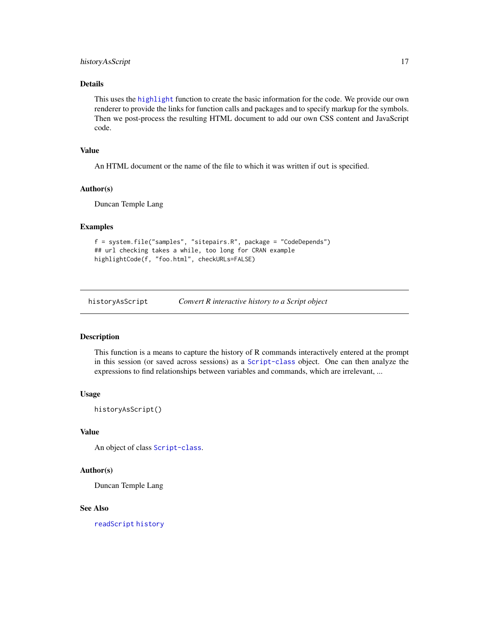### <span id="page-16-0"></span>historyAsScript 17

### Details

This uses the [highlight](#page-0-0) function to create the basic information for the code. We provide our own renderer to provide the links for function calls and packages and to specify markup for the symbols. Then we post-process the resulting HTML document to add our own CSS content and JavaScript code.

#### Value

An HTML document or the name of the file to which it was written if out is specified.

#### Author(s)

Duncan Temple Lang

#### Examples

```
f = system.file("samples", "sitepairs.R", package = "CodeDepends")
## url checking takes a while, too long for CRAN example
highlightCode(f, "foo.html", checkURLs=FALSE)
```
historyAsScript *Convert R interactive history to a Script object*

#### Description

This function is a means to capture the history of R commands interactively entered at the prompt in this session (or saved across sessions) as a [Script-class](#page-25-1) object. One can then analyze the expressions to find relationships between variables and commands, which are irrelevant, ...

#### Usage

historyAsScript()

#### Value

An object of class [Script-class](#page-25-1).

### Author(s)

Duncan Temple Lang

#### See Also

[readScript](#page-23-1) [history](#page-0-0)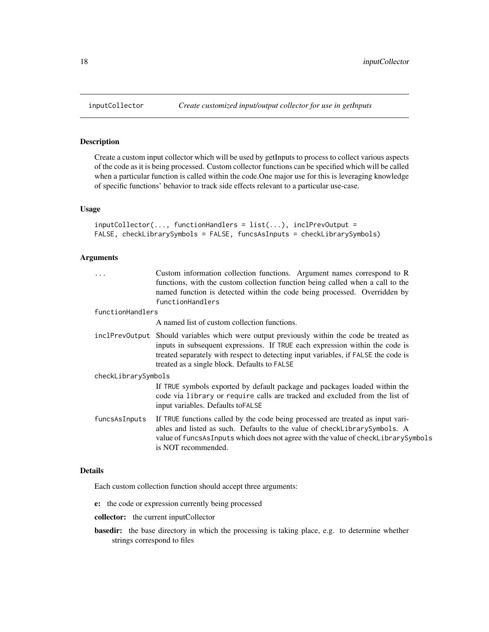Create a custom input collector which will be used by getInputs to process to collect various aspects of the code as it is being processed. Custom collector functions can be specified which will be called when a particular function is called within the code.One major use for this is leveraging knowledge of specific functions' behavior to track side effects relevant to a particular use-case.

### Usage

```
inputCollector(..., functionHandlers = list(...), inclPrevOutput =
FALSE, checkLibrarySymbols = FALSE, funcsAsInputs = checkLibrarySymbols)
```
### Arguments

| .                   | Custom information collection functions. Argument names correspond to R<br>functions, with the custom collection function being called when a call to the<br>named function is detected within the code being processed. Overridden by<br>functionHandlers                                                       |
|---------------------|------------------------------------------------------------------------------------------------------------------------------------------------------------------------------------------------------------------------------------------------------------------------------------------------------------------|
| functionHandlers    |                                                                                                                                                                                                                                                                                                                  |
|                     | A named list of custom collection functions.                                                                                                                                                                                                                                                                     |
|                     | inclPrevOutput Should variables which were output previously within the code be treated as<br>inputs in subsequent expressions. If TRUE each expression within the code is<br>treated separately with respect to detecting input variables, if FALSE the code is<br>treated as a single block. Defaults to FALSE |
| checkLibrarySymbols |                                                                                                                                                                                                                                                                                                                  |
|                     | If TRUE symbols exported by default package and packages loaded within the<br>code via library or require calls are tracked and excluded from the list of<br>input variables. Defaults to FALSE                                                                                                                  |
| funcsAsInputs       | If TRUE functions called by the code being processed are treated as input vari-<br>ables and listed as such. Defaults to the value of checkLibrarySymbols. A<br>value of funcsAsInputs which does not agree with the value of checkLibrarySymbols<br>is NOT recommended.                                         |
|                     |                                                                                                                                                                                                                                                                                                                  |

### Details

Each custom collection function should accept three arguments:

- e: the code or expression currently being processed
- collector: the current inputCollector
- basedir: the base directory in which the processing is taking place, e.g. to determine whether strings correspond to files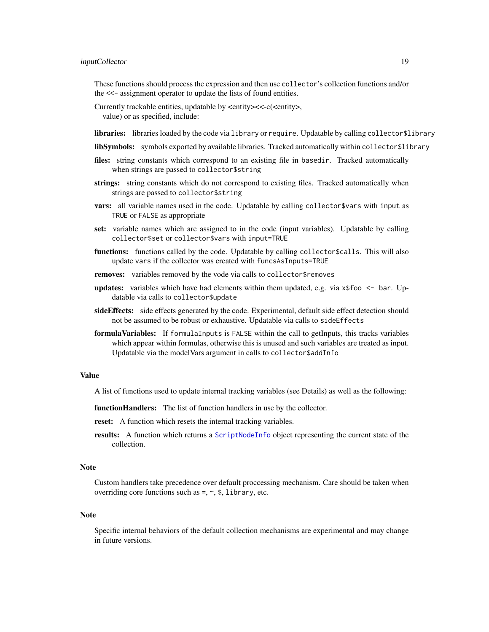### <span id="page-18-0"></span>inputCollector 19

These functions should process the expression and then use collector's collection functions and/or the <<- assignment operator to update the lists of found entities.

- Currently trackable entities, updatable by <entity><<-c(<entity>, value) or as specified, include:
- libraries: libraries loaded by the code via library or require. Updatable by calling collector\$library
- libSymbols: symbols exported by available libraries. Tracked automatically within collector\$library
- files: string constants which correspond to an existing file in basedir. Tracked automatically when strings are passed to collector\$string
- strings: string constants which do not correspond to existing files. Tracked automatically when strings are passed to collector\$string
- vars: all variable names used in the code. Updatable by calling collector \$vars with input as TRUE or FALSE as appropriate
- set: variable names which are assigned to in the code (input variables). Updatable by calling collector\$set or collector\$vars with input=TRUE
- functions: functions called by the code. Updatable by calling collector \$calls. This will also update vars if the collector was created with funcsAsInputs=TRUE
- removes: variables removed by the vode via calls to collector\$removes
- **updates:** variables which have had elements within them updated, e.g. via  $x$ \$foo  $\leq$  bar. Updatable via calls to collector\$update
- sideEffects: side effects generated by the code. Experimental, default side effect detection should not be assumed to be robust or exhaustive. Updatable via calls to sideEffects
- formula Variables: If formulaInputs is FALSE within the call to getInputs, this tracks variables which appear within formulas, otherwise this is unused and such variables are treated as input. Updatable via the modelVars argument in calls to collector\$addInfo

#### Value

A list of functions used to update internal tracking variables (see Details) as well as the following:

function Handlers: The list of function handlers in use by the collector.

reset: A function which resets the internal tracking variables.

results: A function which returns a [ScriptNodeInfo](#page-25-2) object representing the current state of the collection.

#### Note

Custom handlers take precedence over default proccessing mechanism. Care should be taken when overriding core functions such as  $=$ ,  $\sim$ , \$, library, etc.

#### **Note**

Specific internal behaviors of the default collection mechanisms are experimental and may change in future versions.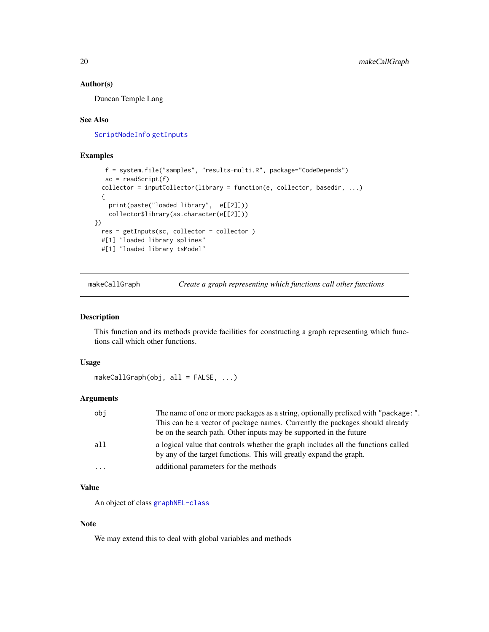#### <span id="page-19-0"></span>Author(s)

Duncan Temple Lang

#### See Also

[ScriptNodeInfo](#page-25-2) [getInputs](#page-8-1)

### Examples

```
f = system.file("samples", "results-multi.R", package="CodeDepends")
  sc = readScript(f)collector = inputCollector(library = function(e, collector, basedir, ...)
 {
   print(paste("loaded library", e[[2]]))
   collector$library(as.character(e[[2]]))
})
 res = getInputs(sc, collector = collector )
 #[1] "loaded library splines"
 #[1] "loaded library tsModel"
```
makeCallGraph *Create a graph representing which functions call other functions*

### Description

This function and its methods provide facilities for constructing a graph representing which functions call which other functions.

#### Usage

makeCallGraph(obj, all = FALSE, ...)

### Arguments

| obj      | The name of one or more packages as a string, optionally prefixed with "package:".                                                                       |
|----------|----------------------------------------------------------------------------------------------------------------------------------------------------------|
|          | This can be a vector of package names. Currently the packages should already                                                                             |
|          | be on the search path. Other inputs may be supported in the future                                                                                       |
| a11      | a logical value that controls whether the graph includes all the functions called<br>by any of the target functions. This will greatly expand the graph. |
| $\cdots$ | additional parameters for the methods                                                                                                                    |

### Value

An object of class [graphNEL-class](#page-0-0)

#### Note

We may extend this to deal with global variables and methods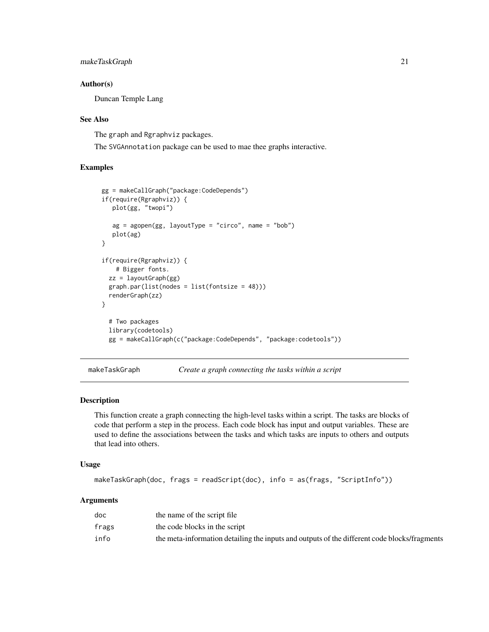### <span id="page-20-0"></span>makeTaskGraph 21

#### Author(s)

Duncan Temple Lang

#### See Also

The graph and Rgraphviz packages.

The SVGAnnotation package can be used to mae thee graphs interactive.

### Examples

```
gg = makeCallGraph("package:CodeDepends")
if(require(Rgraphviz)) {
   plot(gg, "twopi")
   ag = agopen(gg, layoutType = "circ", name = "bob")plot(ag)
}
if(require(Rgraphviz)) {
    # Bigger fonts.
  zz = layoutGraph(gg)
  graph.par(list(nodes = list(fontsize = 48)))
  renderGraph(zz)
}
  # Two packages
  library(codetools)
  gg = makeCallGraph(c("package:CodeDepends", "package:codetools"))
```
makeTaskGraph *Create a graph connecting the tasks within a script*

### Description

This function create a graph connecting the high-level tasks within a script. The tasks are blocks of code that perform a step in the process. Each code block has input and output variables. These are used to define the associations between the tasks and which tasks are inputs to others and outputs that lead into others.

### Usage

```
makeTaskGraph(doc, frags = readScript(doc), info = as(frags, "ScriptInfo"))
```
### Arguments

| doc   | the name of the script file                                                                  |
|-------|----------------------------------------------------------------------------------------------|
| frags | the code blocks in the script                                                                |
| info  | the meta-information detailing the inputs and outputs of the different code blocks/fragments |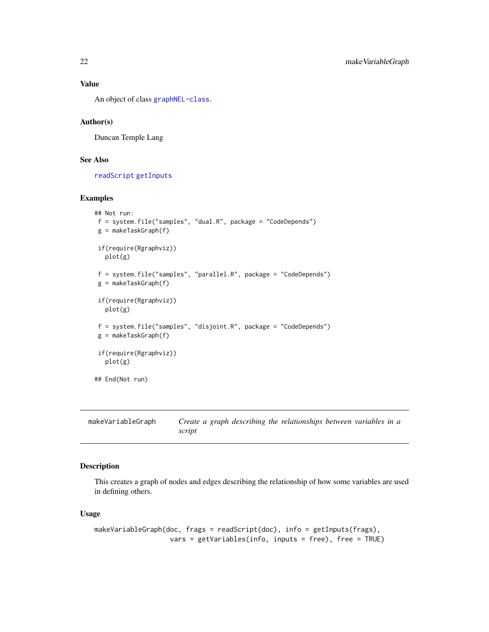### Value

An object of class [graphNEL-class](#page-0-0).

#### Author(s)

Duncan Temple Lang

#### See Also

[readScript](#page-23-1) [getInputs](#page-8-1)

### Examples

```
## Not run:
f = system.file("samples", "dual.R", package = "CodeDepends")
g = makeTaskGraph(f)
if(require(Rgraphviz))
  plot(g)
f = system.file("samples", "parallel.R", package = "CodeDepends")
g = makeTaskGraph(f)
if(require(Rgraphviz))
  plot(g)
f = system.file("samples", "disjoint.R", package = "CodeDepends")
g = makeTaskGraph(f)
if(require(Rgraphviz))
  plot(g)
## End(Not run)
```
makeVariableGraph *Create a graph describing the relationships between variables in a script*

### Description

This creates a graph of nodes and edges describing the relationship of how some variables are used in defining others.

#### Usage

```
makeVariableGraph(doc, frags = readScript(doc), info = getInputs(frags),
                  vars = getVariables(info, inputs = free), free = TRUE)
```
<span id="page-21-0"></span>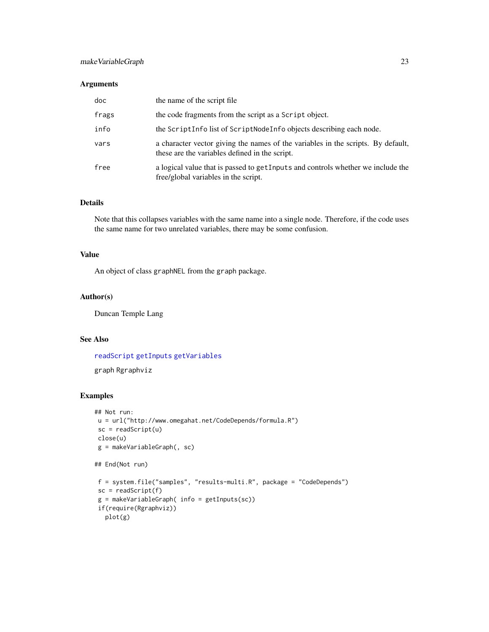### <span id="page-22-0"></span>makeVariableGraph 23

### Arguments

| doc   | the name of the script file                                                                                                        |
|-------|------------------------------------------------------------------------------------------------------------------------------------|
| frags | the code fragments from the script as a Script object.                                                                             |
| info  | the ScriptInfo list of ScriptNodeInfo objects describing each node.                                                                |
| vars  | a character vector giving the names of the variables in the scripts. By default,<br>these are the variables defined in the script. |
| free  | a logical value that is passed to getInputs and controls whether we include the<br>free/global variables in the script.            |

### Details

Note that this collapses variables with the same name into a single node. Therefore, if the code uses the same name for two unrelated variables, there may be some confusion.

### Value

An object of class graphNEL from the graph package.

#### Author(s)

Duncan Temple Lang

### See Also

[readScript](#page-23-1) [getInputs](#page-8-1) [getVariables](#page-13-1)

graph Rgraphviz

### Examples

```
## Not run:
u = url("http://www.omegahat.net/CodeDepends/formula.R")
sc = readScript(u)close(u)
g = makeVariableGraph(, sc)
```
## End(Not run)

```
f = system.file("samples", "results-multi.R", package = "CodeDepends")
sc = readScript(f)g = makeVariableGraph( info = getInputs(sc))
if(require(Rgraphviz))
 plot(g)
```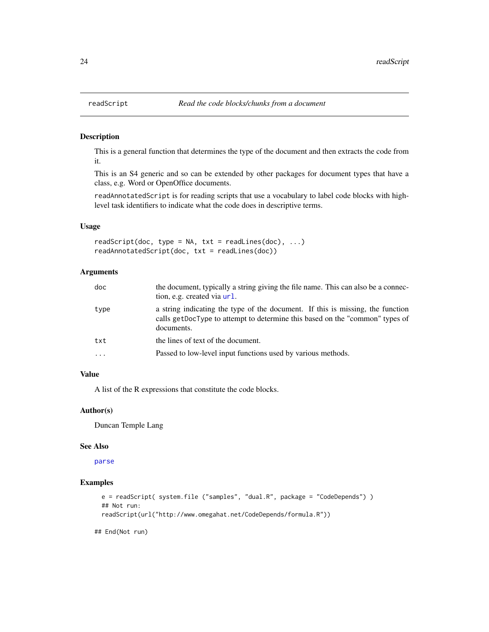This is a general function that determines the type of the document and then extracts the code from it.

This is an S4 generic and so can be extended by other packages for document types that have a class, e.g. Word or OpenOffice documents.

readAnnotatedScript is for reading scripts that use a vocabulary to label code blocks with highlevel task identifiers to indicate what the code does in descriptive terms.

### Usage

readScript(doc, type = NA, txt = readLines(doc), ...) readAnnotatedScript(doc, txt = readLines(doc))

### Arguments

| doc      | the document, typically a string giving the file name. This can also be a connec-<br>tion, e.g. created via url.                                                             |  |  |
|----------|------------------------------------------------------------------------------------------------------------------------------------------------------------------------------|--|--|
| type     | a string indicating the type of the document. If this is missing, the function<br>calls getDocType to attempt to determine this based on the "common" types of<br>documents. |  |  |
| txt      | the lines of text of the document.                                                                                                                                           |  |  |
| $\cdots$ | Passed to low-level input functions used by various methods.                                                                                                                 |  |  |

### Value

A list of the R expressions that constitute the code blocks.

#### Author(s)

Duncan Temple Lang

#### See Also

[parse](#page-0-0)

### Examples

```
e = readScript( system.file ("samples", "dual.R", package = "CodeDepends") )
## Not run:
readScript(url("http://www.omegahat.net/CodeDepends/formula.R"))
```
## End(Not run)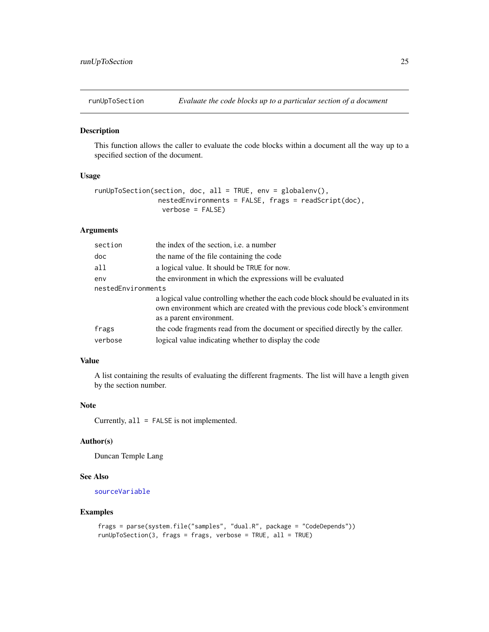<span id="page-24-0"></span>

This function allows the caller to evaluate the code blocks within a document all the way up to a specified section of the document.

### Usage

```
runUpToSection(section, doc, all = TRUE, env = globalenv(),
                nestedEnvironments = FALSE, frags = readScript(doc),
                verbose = FALSE)
```
### Arguments

| section            | the index of the section, <i>i.e.</i> a number                                                                                                                                                 |  |  |
|--------------------|------------------------------------------------------------------------------------------------------------------------------------------------------------------------------------------------|--|--|
| doc                | the name of the file containing the code                                                                                                                                                       |  |  |
| all                | a logical value. It should be TRUE for now.                                                                                                                                                    |  |  |
| env                | the environment in which the expressions will be evaluated                                                                                                                                     |  |  |
| nestedEnvironments |                                                                                                                                                                                                |  |  |
|                    | a logical value controlling whether the each code block should be evaluated in its<br>own environment which are created with the previous code block's environment<br>as a parent environment. |  |  |
| frags              | the code fragments read from the document or specified directly by the caller.                                                                                                                 |  |  |
| verbose            | logical value indicating whether to display the code                                                                                                                                           |  |  |

### Value

A list containing the results of evaluating the different fragments. The list will have a length given by the section number.

#### Note

Currently, all = FALSE is not implemented.

### Author(s)

Duncan Temple Lang

#### See Also

[sourceVariable](#page-27-1)

#### Examples

```
frags = parse(system.file("samples", "dual.R", package = "CodeDepends"))
runUpToSection(3, frags = frags, verbose = TRUE, all = TRUE)
```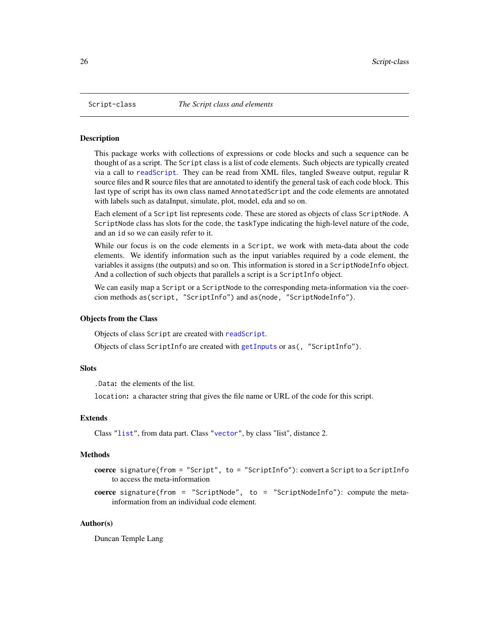<span id="page-25-2"></span><span id="page-25-1"></span><span id="page-25-0"></span>

This package works with collections of expressions or code blocks and such a sequence can be thought of as a script. The Script class is a list of code elements. Such objects are typically created via a call to [readScript](#page-23-1). They can be read from XML files, tangled Sweave output, regular R source files and R source files that are annotated to identify the general task of each code block. This last type of script has its own class named AnnotatedScript and the code elements are annotated with labels such as dataInput, simulate, plot, model, eda and so on.

Each element of a Script list represents code. These are stored as objects of class ScriptNode. A ScriptNode class has slots for the code, the taskType indicating the high-level nature of the code, and an id so we can easily refer to it.

While our focus is on the code elements in a Script, we work with meta-data about the code elements. We identify information such as the input variables required by a code element, the variables it assigns (the outputs) and so on. This information is stored in a ScriptNodeInfo object. And a collection of such objects that parallels a script is a ScriptInfo object.

We can easily map a Script or a ScriptNode to the corresponding meta-information via the coercion methods as(script, "ScriptInfo") and as(node, "ScriptNodeInfo").

### Objects from the Class

Objects of class Script are created with [readScript](#page-23-1).

Objects of class ScriptInfo are created with [getInputs](#page-8-1) or as(, "ScriptInfo").

#### **Slots**

.Data: the elements of the list.

location: a character string that gives the file name or URL of the code for this script.

#### Extends

Class ["list"](#page-0-0), from data part. Class ["vector"](#page-0-0), by class "list", distance 2.

#### Methods

coerce signature(from = "Script", to = "ScriptInfo"): convert a Script to a ScriptInfo to access the meta-information

**coerce** signature(from = "ScriptNode", to = "ScriptNodeInfo"): compute the metainformation from an individual code element.

#### Author(s)

Duncan Temple Lang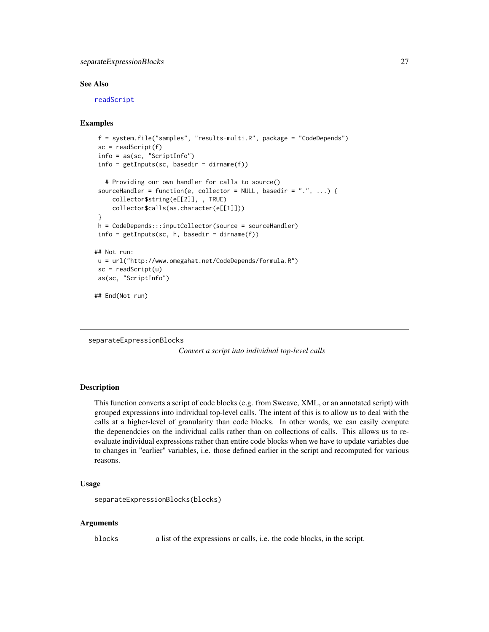### <span id="page-26-0"></span>separateExpressionBlocks 27

#### See Also

[readScript](#page-23-1)

### Examples

```
f = system.file("samples", "results-multi.R", package = "CodeDepends")
 sc = readScript(f)info = as(sc, "ScriptInfo")
 info = getInputs(sc, basedir = dirname(f))
   # Providing our own handler for calls to source()
 sourceHandler = function(e, collector = NULL, basedir = ".", ...) {
     collector$string(e[[2]], , TRUE)
     collector$calls(as.character(e[[1]]))
 }
h = CodeDepends:::inputCollector(source = sourceHandler)
 info = getInputStream(sc, h, basedir = dirname(f))## Not run:
u = url("http://www.omegahat.net/CodeDepends/formula.R")
 sc = readScript(u)as(sc, "ScriptInfo")
## End(Not run)
```
separateExpressionBlocks

*Convert a script into individual top-level calls*

### Description

This function converts a script of code blocks (e.g. from Sweave, XML, or an annotated script) with grouped expressions into individual top-level calls. The intent of this is to allow us to deal with the calls at a higher-level of granularity than code blocks. In other words, we can easily compute the depenendcies on the individual calls rather than on collections of calls. This allows us to reevaluate individual expressions rather than entire code blocks when we have to update variables due to changes in "earlier" variables, i.e. those defined earlier in the script and recomputed for various reasons.

#### Usage

```
separateExpressionBlocks(blocks)
```
#### Arguments

blocks a list of the expressions or calls, i.e. the code blocks, in the script.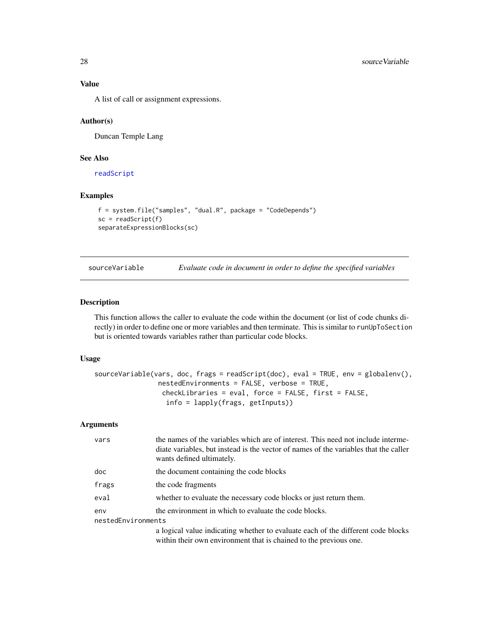A list of call or assignment expressions.

#### Author(s)

Duncan Temple Lang

### See Also

[readScript](#page-23-1)

#### Examples

```
f = system.file("samples", "dual.R", package = "CodeDepends")
sc = readScript(f)separateExpressionBlocks(sc)
```
<span id="page-27-1"></span>

| sourceVariable | Evaluate code in document in order to define the specified variables |  |  |  |
|----------------|----------------------------------------------------------------------|--|--|--|
|                |                                                                      |  |  |  |

### Description

This function allows the caller to evaluate the code within the document (or list of code chunks directly) in order to define one or more variables and then terminate. This is similar to runUpToSection but is oriented towards variables rather than particular code blocks.

#### Usage

```
sourceVariable(vars, doc, frags = readScript(doc), eval = TRUE, env = globalenv(),
                nestedEnvironments = FALSE, verbose = TRUE,
                 checkLibraries = eval, force = FALSE, first = FALSE,
                  info = lapply(frags, getInputs))
```
### Arguments

| vars                      | the names of the variables which are of interest. This need not include interme-<br>diate variables, but instead is the vector of names of the variables that the caller<br>wants defined ultimately. |  |  |  |
|---------------------------|-------------------------------------------------------------------------------------------------------------------------------------------------------------------------------------------------------|--|--|--|
| doc                       | the document containing the code blocks                                                                                                                                                               |  |  |  |
| frags                     | the code fragments                                                                                                                                                                                    |  |  |  |
| eval                      | whether to evaluate the necessary code blocks or just return them.                                                                                                                                    |  |  |  |
| env<br>nestedEnvironments | the environment in which to evaluate the code blocks.                                                                                                                                                 |  |  |  |
|                           | a logical value indicating whether to evaluate each of the different code blocks<br>within their own environment that is chained to the previous one.                                                 |  |  |  |

<span id="page-27-0"></span>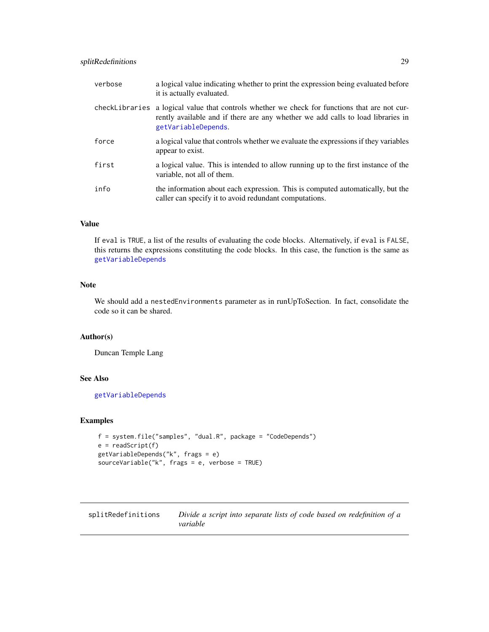### <span id="page-28-0"></span>splitRedefinitions 29

| verbose        | a logical value indicating whether to print the expression being evaluated before<br>it is actually evaluated.                                                                           |
|----------------|------------------------------------------------------------------------------------------------------------------------------------------------------------------------------------------|
| checkLibraries | a logical value that controls whether we check for functions that are not cur-<br>rently available and if there are any whether we add calls to load libraries in<br>getVariableDepends. |
| force          | a logical value that controls whether we evaluate the expressions if they variables<br>appear to exist.                                                                                  |
| first          | a logical value. This is intended to allow running up to the first instance of the<br>variable, not all of them.                                                                         |
| info           | the information about each expression. This is computed automatically, but the<br>caller can specify it to avoid redundant computations.                                                 |

### Value

If eval is TRUE, a list of the results of evaluating the code blocks. Alternatively, if eval is FALSE, this returns the expressions constituting the code blocks. In this case, the function is the same as [getVariableDepends](#page-11-1)

### Note

We should add a nestedEnvironments parameter as in runUpToSection. In fact, consolidate the code so it can be shared.

#### Author(s)

Duncan Temple Lang

### See Also

[getVariableDepends](#page-11-1)

### Examples

```
f = system.file("samples", "dual.R", package = "CodeDepends")
e = readScript(f)getVariableDepends("k", frags = e)
sourceVariable("k", frags = e, verbose = TRUE)
```
splitRedefinitions *Divide a script into separate lists of code based on redefinition of a variable*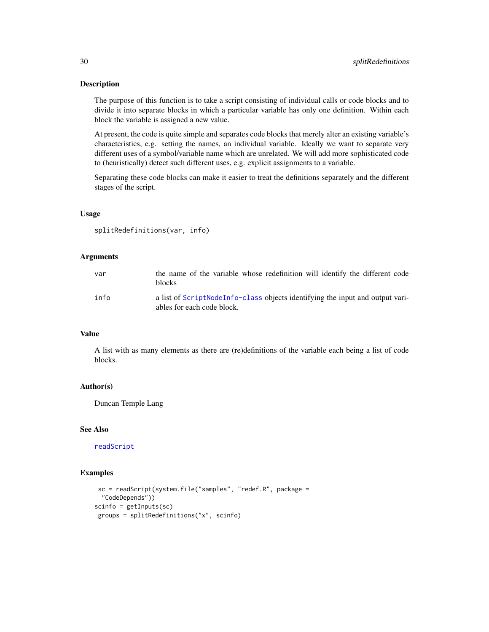The purpose of this function is to take a script consisting of individual calls or code blocks and to divide it into separate blocks in which a particular variable has only one definition. Within each block the variable is assigned a new value.

At present, the code is quite simple and separates code blocks that merely alter an existing variable's characteristics, e.g. setting the names, an individual variable. Ideally we want to separate very different uses of a symbol/variable name which are unrelated. We will add more sophisticated code to (heuristically) detect such different uses, e.g. explicit assignments to a variable.

Separating these code blocks can make it easier to treat the definitions separately and the different stages of the script.

#### Usage

splitRedefinitions(var, info)

#### **Arguments**

| var  | the name of the variable whose redefinition will identify the different code<br><b>blocks</b>               |
|------|-------------------------------------------------------------------------------------------------------------|
| info | a list of ScriptNodeInfo-class objects identifying the input and output vari-<br>ables for each code block. |

### Value

A list with as many elements as there are (re)definitions of the variable each being a list of code blocks.

### Author(s)

Duncan Temple Lang

#### See Also

[readScript](#page-23-1)

#### Examples

```
sc = readScript(system.file("samples", "redef.R", package =
  "CodeDepends"))
scinfo = getInputs(sc)
groups = splitRedefinitions("x", scinfo)
```
<span id="page-29-0"></span>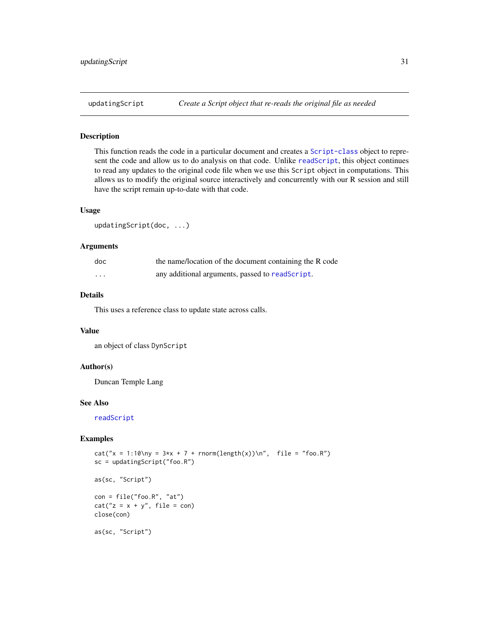<span id="page-30-0"></span>

This function reads the code in a particular document and creates a [Script-class](#page-25-1) object to represent the code and allow us to do analysis on that code. Unlike [readScript](#page-23-1), this object continues to read any updates to the original code file when we use this Script object in computations. This allows us to modify the original source interactively and concurrently with our R session and still have the script remain up-to-date with that code.

### Usage

```
updatingScript(doc, ...)
```
#### Arguments

| doc                     | the name/location of the document containing the R code |
|-------------------------|---------------------------------------------------------|
| $\cdot$ $\cdot$ $\cdot$ | any additional arguments, passed to readScript.         |

### Details

This uses a reference class to update state across calls.

#### Value

an object of class DynScript

### Author(s)

Duncan Temple Lang

#### See Also

[readScript](#page-23-1)

### Examples

```
cat("x = 1:10\ny = 3*x + 7 + rnorm(length(x))\n", file = "foo.R")sc = updatingScript("foo.R")
```
as(sc, "Script")

 $con = file("foo.R", "at")$  $cat("z = x + y", file = con)$ close(con)

as(sc, "Script")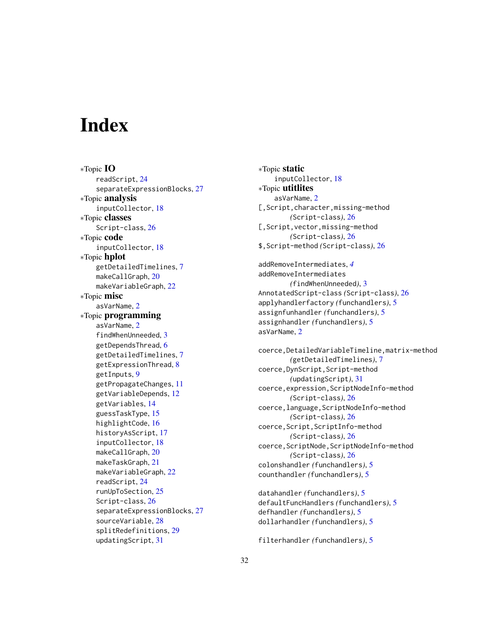# <span id="page-31-0"></span>**Index**

∗Topic IO readScript, [24](#page-23-0) separateExpressionBlocks, [27](#page-26-0) ∗Topic analysis inputCollector, [18](#page-17-0) ∗Topic classes Script-class, [26](#page-25-0) ∗Topic code inputCollector, [18](#page-17-0) ∗Topic hplot getDetailedTimelines, [7](#page-6-0) makeCallGraph, [20](#page-19-0) makeVariableGraph, [22](#page-21-0) ∗Topic misc asVarName, [2](#page-1-0) ∗Topic programming asVarName, [2](#page-1-0) findWhenUnneeded, [3](#page-2-0) getDependsThread, [6](#page-5-0) getDetailedTimelines, [7](#page-6-0) getExpressionThread, [8](#page-7-0) getInputs, [9](#page-8-0) getPropagateChanges, [11](#page-10-0) getVariableDepends, [12](#page-11-0) getVariables, [14](#page-13-0) guessTaskType, [15](#page-14-0) highlightCode, [16](#page-15-0) historyAsScript, [17](#page-16-0) inputCollector, [18](#page-17-0) makeCallGraph, [20](#page-19-0) makeTaskGraph, [21](#page-20-0) makeVariableGraph, [22](#page-21-0) readScript, [24](#page-23-0) runUpToSection, [25](#page-24-0) Script-class, [26](#page-25-0) separateExpressionBlocks, [27](#page-26-0) sourceVariable, [28](#page-27-0) splitRedefinitions, [29](#page-28-0) updatingScript, [31](#page-30-0)

∗Topic static inputCollector, [18](#page-17-0) ∗Topic utitlites asVarName, [2](#page-1-0) [, Script, character, missing-method *(*Script-class*)*, [26](#page-25-0) [, Script, vector, missing-method *(*Script-class*)*, [26](#page-25-0) \$,Script-method *(*Script-class*)*, [26](#page-25-0) addRemoveIntermediates, *[4](#page-3-0)*

addRemoveIntermediates *(*findWhenUnneeded*)*, [3](#page-2-0) AnnotatedScript-class *(*Script-class*)*, [26](#page-25-0) applyhandlerfactory *(*funchandlers*)*, [5](#page-4-0) assignfunhandler *(*funchandlers*)*, [5](#page-4-0) assignhandler *(*funchandlers*)*, [5](#page-4-0) asVarName, [2](#page-1-0)

coerce,DetailedVariableTimeline,matrix-method *(*getDetailedTimelines*)*, [7](#page-6-0) coerce,DynScript,Script-method *(*updatingScript*)*, [31](#page-30-0) coerce,expression,ScriptNodeInfo-method *(*Script-class*)*, [26](#page-25-0) coerce,language,ScriptNodeInfo-method *(*Script-class*)*, [26](#page-25-0) coerce,Script,ScriptInfo-method *(*Script-class*)*, [26](#page-25-0) coerce,ScriptNode,ScriptNodeInfo-method *(*Script-class*)*, [26](#page-25-0) colonshandler *(*funchandlers*)*, [5](#page-4-0) counthandler *(*funchandlers*)*, [5](#page-4-0)

datahandler *(*funchandlers*)*, [5](#page-4-0) defaultFuncHandlers *(*funchandlers*)*, [5](#page-4-0) defhandler *(*funchandlers*)*, [5](#page-4-0) dollarhandler *(*funchandlers*)*, [5](#page-4-0)

filterhandler *(*funchandlers*)*, [5](#page-4-0)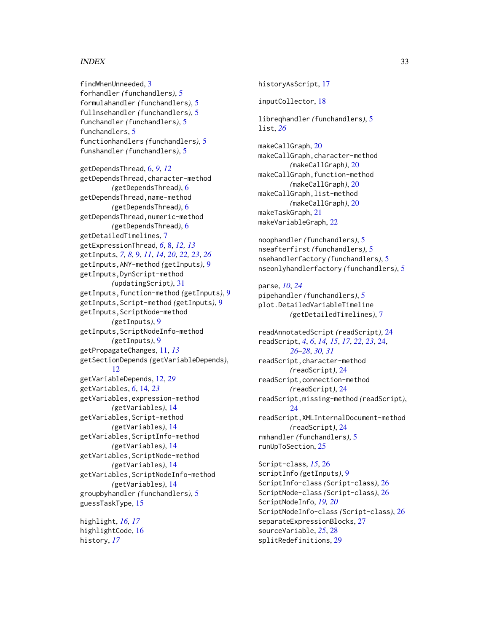#### $I<sub>N</sub>DEX$  33

findWhenUnneeded, [3](#page-2-0) forhandler *(*funchandlers*)*, [5](#page-4-0) formulahandler *(*funchandlers*)*, [5](#page-4-0) fullnsehandler *(*funchandlers*)*, [5](#page-4-0) funchandler *(*funchandlers*)*, [5](#page-4-0) funchandlers, [5](#page-4-0) functionhandlers *(*funchandlers*)*, [5](#page-4-0) funshandler *(*funchandlers*)*, [5](#page-4-0)

getDependsThread, [6,](#page-5-0) *[9](#page-8-0)*, *[12](#page-11-0)* getDependsThread,character-method *(*getDependsThread*)*, [6](#page-5-0) getDependsThread,name-method *(*getDependsThread*)*, [6](#page-5-0) getDependsThread,numeric-method *(*getDependsThread*)*, [6](#page-5-0) getDetailedTimelines, [7](#page-6-0) getExpressionThread, *[6](#page-5-0)*, [8,](#page-7-0) *[12,](#page-11-0) [13](#page-12-0)* getInputs, *[7,](#page-6-0) [8](#page-7-0)*, [9,](#page-8-0) *[11](#page-10-0)*, *[14](#page-13-0)*, *[20](#page-19-0)*, *[22,](#page-21-0) [23](#page-22-0)*, *[26](#page-25-0)* getInputs,ANY-method *(*getInputs*)*, [9](#page-8-0) getInputs,DynScript-method *(*updatingScript*)*, [31](#page-30-0) getInputs,function-method *(*getInputs*)*, [9](#page-8-0) getInputs,Script-method *(*getInputs*)*, [9](#page-8-0) getInputs,ScriptNode-method *(*getInputs*)*, [9](#page-8-0) getInputs,ScriptNodeInfo-method *(*getInputs*)*, [9](#page-8-0) getPropagateChanges, [11,](#page-10-0) *[13](#page-12-0)* getSectionDepends *(*getVariableDepends*)*, [12](#page-11-0) getVariableDepends, [12,](#page-11-0) *[29](#page-28-0)* getVariables, *[6](#page-5-0)*, [14,](#page-13-0) *[23](#page-22-0)* getVariables,expression-method *(*getVariables*)*, [14](#page-13-0) getVariables,Script-method *(*getVariables*)*, [14](#page-13-0) getVariables,ScriptInfo-method *(*getVariables*)*, [14](#page-13-0) getVariables,ScriptNode-method *(*getVariables*)*, [14](#page-13-0) getVariables,ScriptNodeInfo-method *(*getVariables*)*, [14](#page-13-0) groupbyhandler *(*funchandlers*)*, [5](#page-4-0) guessTaskType, [15](#page-14-0)

highlight, *[16,](#page-15-0) [17](#page-16-0)* highlightCode, [16](#page-15-0) history, *[17](#page-16-0)*

historyAsScript, [17](#page-16-0) inputCollector, [18](#page-17-0) libreqhandler *(*funchandlers*)*, [5](#page-4-0) list, *[26](#page-25-0)* makeCallGraph, [20](#page-19-0) makeCallGraph,character-method *(*makeCallGraph*)*, [20](#page-19-0) makeCallGraph,function-method *(*makeCallGraph*)*, [20](#page-19-0) makeCallGraph,list-method *(*makeCallGraph*)*, [20](#page-19-0) makeTaskGraph, [21](#page-20-0) makeVariableGraph, [22](#page-21-0) noophandler *(*funchandlers*)*, [5](#page-4-0) nseafterfirst *(*funchandlers*)*, [5](#page-4-0) nsehandlerfactory *(*funchandlers*)*, [5](#page-4-0) nseonlyhandlerfactory *(*funchandlers*)*, [5](#page-4-0) parse, *[10](#page-9-0)*, *[24](#page-23-0)* pipehandler *(*funchandlers*)*, [5](#page-4-0) plot.DetailedVariableTimeline *(*getDetailedTimelines*)*, [7](#page-6-0) readAnnotatedScript *(*readScript*)*, [24](#page-23-0) readScript, *[4](#page-3-0)*, *[6](#page-5-0)*, *[14,](#page-13-0) [15](#page-14-0)*, *[17](#page-16-0)*, *[22,](#page-21-0) [23](#page-22-0)*, [24,](#page-23-0) *[26](#page-25-0)[–28](#page-27-0)*, *[30,](#page-29-0) [31](#page-30-0)* readScript,character-method *(*readScript*)*, [24](#page-23-0)

readScript,connection-method *(*readScript*)*, [24](#page-23-0) readScript,missing-method *(*readScript*)*, [24](#page-23-0) readScript,XMLInternalDocument-method *(*readScript*)*, [24](#page-23-0) rmhandler *(*funchandlers*)*, [5](#page-4-0) runUpToSection, [25](#page-24-0)

Script-class, *[15](#page-14-0)*, [26](#page-25-0) scriptInfo *(*getInputs*)*, [9](#page-8-0) ScriptInfo-class *(*Script-class*)*, [26](#page-25-0) ScriptNode-class *(*Script-class*)*, [26](#page-25-0) ScriptNodeInfo, *[19,](#page-18-0) [20](#page-19-0)* ScriptNodeInfo-class *(*Script-class*)*, [26](#page-25-0) separateExpressionBlocks, [27](#page-26-0) sourceVariable, *[25](#page-24-0)*, [28](#page-27-0) splitRedefinitions, [29](#page-28-0)